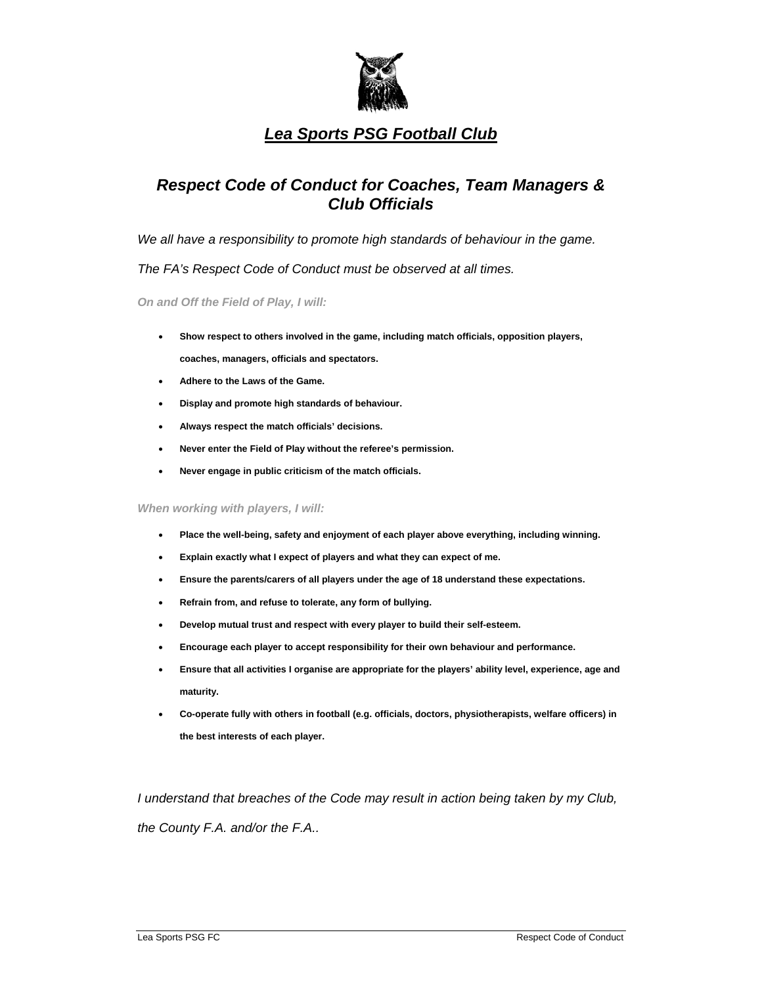

#### *Respect Code of Conduct for Coaches, Team Managers & Club Officials*

We all have a responsibility to promote high standards of behaviour in the game.

*The FA's Respect Code of Conduct must be observed at all times.* 

*On and Off the Field of Play, I will:*

- **Show respect to others involved in the game, including match officials, opposition players, coaches, managers, officials and spectators.**
- **Adhere to the Laws of the Game.**
- **Display and promote high standards of behaviour.**
- **Always respect the match officials' decisions.**
- **Never enter the Field of Play without the referee's permission.**
- **Never engage in public criticism of the match officials.**

*When working with players, I will:* 

- **Place the well-being, safety and enjoyment of each player above everything, including winning.**
- **Explain exactly what I expect of players and what they can expect of me.**
- **Ensure the parents/carers of all players under the age of 18 understand these expectations.**
- **Refrain from, and refuse to tolerate, any form of bullying.**
- **Develop mutual trust and respect with every player to build their self-esteem.**
- **Encourage each player to accept responsibility for their own behaviour and performance.**
- **Ensure that all activities I organise are appropriate for the players' ability level, experience, age and maturity.**
- **Co-operate fully with others in football (e.g. officials, doctors, physiotherapists, welfare officers) in the best interests of each player.**

*I* understand that breaches of the Code may result in action being taken by my Club, *the County F.A. and/or the F.A..*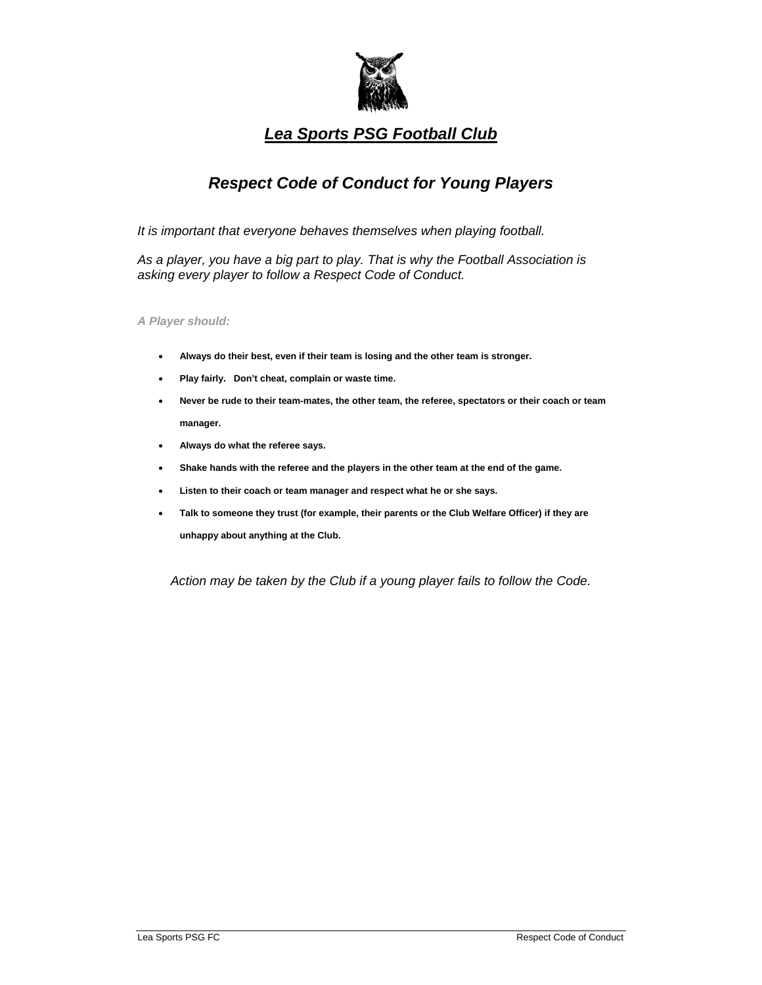

# *Respect Code of Conduct for Young Players*

*It is important that everyone behaves themselves when playing football.* 

*As a player, you have a big part to play. That is why the Football Association is asking every player to follow a Respect Code of Conduct.* 

*A Player should:*

- **Always do their best, even if their team is losing and the other team is stronger.**
- **Play fairly. Don't cheat, complain or waste time.**
- **Never be rude to their team-mates, the other team, the referee, spectators or their coach or team manager.**
- **Always do what the referee says.**
- **Shake hands with the referee and the players in the other team at the end of the game.**
- **Listen to their coach or team manager and respect what he or she says.**
- **Talk to someone they trust (for example, their parents or the Club Welfare Officer) if they are unhappy about anything at the Club.**

*Action may be taken by the Club if a young player fails to follow the Code.*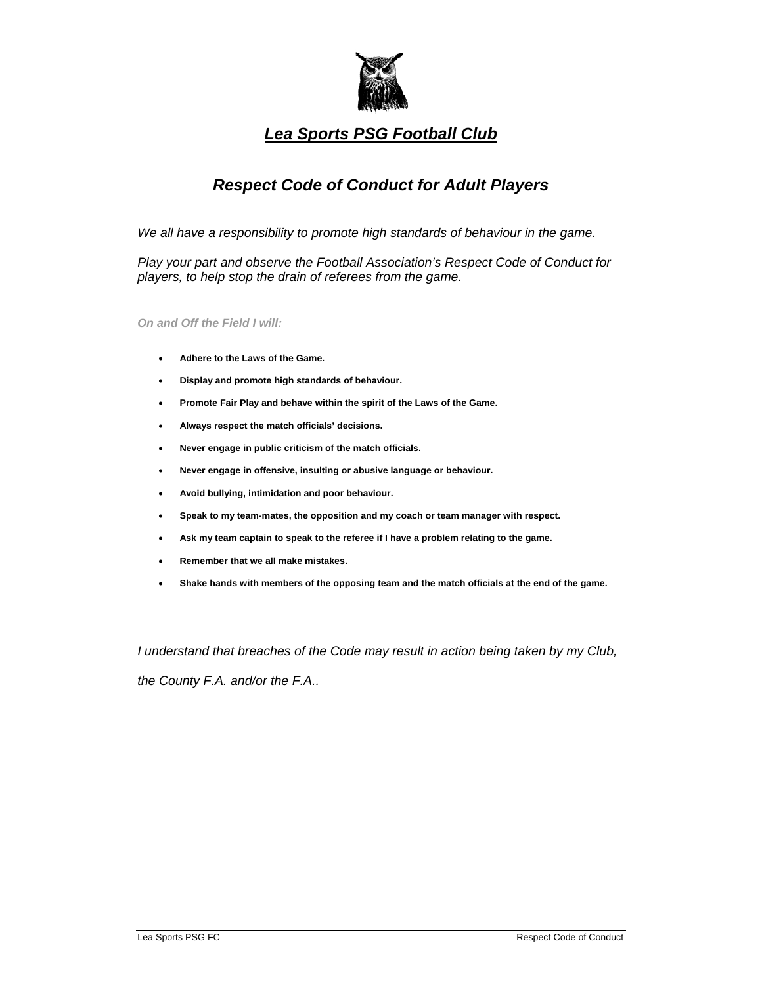

## *Respect Code of Conduct for Adult Players*

We all have a responsibility to promote high standards of behaviour in the game.

*Play your part and observe the Football Association's Respect Code of Conduct for players, to help stop the drain of referees from the game.* 

*On and Off the Field I will:*

- **Adhere to the Laws of the Game.**
- **Display and promote high standards of behaviour.**
- **Promote Fair Play and behave within the spirit of the Laws of the Game.**
- **Always respect the match officials' decisions.**
- **Never engage in public criticism of the match officials.**
- **Never engage in offensive, insulting or abusive language or behaviour.**
- **Avoid bullying, intimidation and poor behaviour.**
- **Speak to my team-mates, the opposition and my coach or team manager with respect.**
- **Ask my team captain to speak to the referee if I have a problem relating to the game.**
- **Remember that we all make mistakes.**
- **Shake hands with members of the opposing team and the match officials at the end of the game.**

*I understand that breaches of the Code may result in action being taken by my Club,* 

*the County F.A. and/or the F.A..*